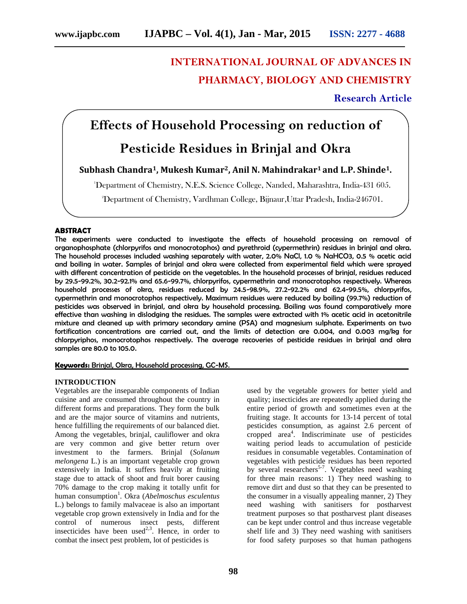# **INTERNATIONAL JOURNAL OF ADVANCES IN PHARMACY, BIOLOGY AND CHEMISTRY**

### **Research Article**

## **Effects of Household Processing on reduction of**

## **Pesticide Residues in Brinjal and Okra**

### **Subhash Chandra1, Mukesh Kumar2, Anil N. Mahindrakar<sup>1</sup> and L.P. Shinde1.**

<sup>1</sup>Department of Chemistry, N.E.S. Science College, Nanded, Maharashtra, India-431 605.

2Department of Chemistry, Vardhman College, Bijnaur,Uttar Pradesh, India-246701.

#### **ABSTRACT**

The experiments were conducted to investigate the effects of household processing on removal of organophosphate (chlorpyrifos and monocrotophos) and pyrethroid (cypermethrin) residues in brinjal and okra. The household processes included washing separately with water, 2.0% NaCl, 1.0 % NaHCO3, 0.5 % acetic acid and boiling in water. Samples of brinjal and okra were collected from experimental field which were sprayed with different concentration of pesticide on the vegetables. In the household processes of brinjal, residues reduced by 29.5-99.2%, 30.2-92.1% and 65.6-99.7%, chlorpyrifos, cypermethrin and monocrotophos respectively. Whereas household processes of okra, residues reduced by 24.5-98.9%, 27.2-92.2% and 62.4-99.5%, chlorpyrifos, cypermethrin and monocrotophos respectively. Maximum residues were reduced by boiling (99.7%) reduction of pesticides was observed in brinjal, and okra by household processing. Boiling was found comparatively more effective than washing in dislodging the residues. The samples were extracted with 1% acetic acid in acetonitrile mixture and cleaned up with primary secondary amine (PSA) and magnesium sulphate. Experiments on two fortification concentrations are carried out, and the limits of detection are 0.004, and 0.003 mg/kg for chlorpyriphos, monocrotophos respectively. The average recoveries of pesticide residues in brinjal and okra samples are 80.0 to 105.0.

#### **Keywords:** Brinjal, Okra, Household processing, GC-MS.

#### **INTRODUCTION**

Vegetables are the inseparable components of Indian cuisine and are consumed throughout the country in different forms and preparations. They form the bulk and are the major source of vitamins and nutrients, hence fulfilling the requirements of our balanced diet. Among the vegetables, brinjal, cauliflower and okra are very common and give better return over investment to the farmers. Brinjal (*Solanum melongena* L.) is an important vegetable crop grown extensively in India. It suffers heavily at fruiting stage due to attack of shoot and fruit borer causing 70% damage to the crop making it totally unfit for human consumption<sup>1</sup>. Okra (Abelmoschus esculentus L.) belongs to family malvaceae is also an important vegetable crop grown extensively in India and for the control of numerous insect pests, different insecticides have been used<sup>2,3</sup>. Hence, in order to combat the insect pest problem, lot of pesticides is

used by the vegetable growers for better yield and quality; insecticides are repeatedly applied during the entire period of growth and sometimes even at the fruiting stage. It accounts for 13-14 percent of total pesticides consumption, as against 2.6 percent of cropped area 4 . Indiscriminate use of pesticides waiting period leads to accumulation of pesticide residues in consumable vegetables. Contamination of vegetables with pesticide residues has been reported by several researchers<sup>5-7</sup>. Vegetables need washing for three main reasons: 1) They need washing to remove dirt and dust so that they can be presented to the consumer in a visually appealing manner, 2) They need washing with sanitisers for postharvest treatment purposes so that postharvest plant diseases can be kept under control and thus increase vegetable shelf life and 3) They need washing with sanitisers for food safety purposes so that human pathogens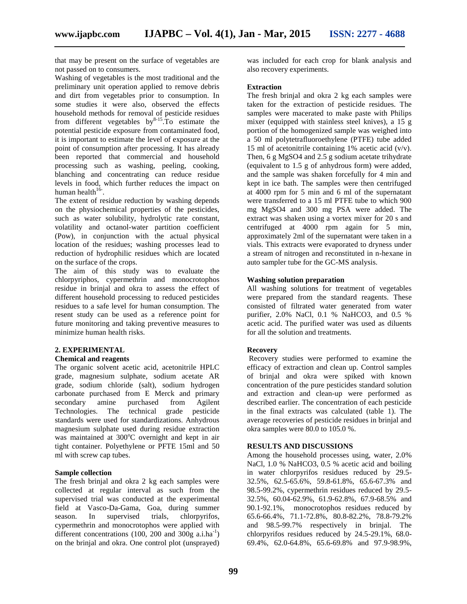that may be present on the surface of vegetables are not passed on to consumers.

Washing of vegetables is the most traditional and the preliminary unit operation applied to remove debris and dirt from vegetables prior to consumption. In some studies it were also, observed the effects household methods for removal of pesticide residues from different vegetables  $by^{8-15}$ . To estimate the potential pesticide exposure from contaminated food, it is important to estimate the level of exposure at the point of consumption after processing. It has already been reported that commercial and household processing such as washing, peeling, cooking, blanching and concentrating can reduce residue levels in food, which further reduces the impact on human health $16$ <sup>-</sup>.

The extent of residue reduction by washing depends on the physiochemical properties of the pesticides, such as water solubility, hydrolytic rate constant, volatility and octanol-water partition coefficient (Pow), in conjunction with the actual physical location of the residues; washing processes lead to reduction of hydrophilic residues which are located on the surface of the crops.

The aim of this study was to evaluate the chlorpyriphos, cypermethrin and monocrotophos residue in brinjal and okra to assess the effect of different household processing to reduced pesticides residues to a safe level for human consumption. The resent study can be used as a reference point for future monitoring and taking preventive measures to minimize human health risks.

#### **2. EXPERIMENTAL**

#### **Chemical and reagents**

The organic solvent acetic acid, acetonitrile HPLC grade, magnesium sulphate, sodium acetate AR grade, sodium chloride (salt), sodium hydrogen carbonate purchased from E Merck and primary secondary amine purchased from Agilent Technologies. The technical grade pesticide standards were used for standardizations. Anhydrous magnesium sulphate used during residue extraction was maintained at  $300^{\circ}$ C overnight and kept in air tight container. Polyethylene or PFTE 15ml and 50 ml with screw cap tubes.

#### **Sample collection**

The fresh brinjal and okra 2 kg each samples were collected at regular interval as such from the supervised trial was conducted at the experimental field at Vasco-Da-Gama, Goa, during summer season. In supervised trials, chlorpyrifos, cypermethrin and monocrotophos were applied with different concentrations (100, 200 and 300g a.i.ha<sup>-1</sup>) on the brinjal and okra. One control plot (unsprayed) was included for each crop for blank analysis and also recovery experiments.

#### **Extraction**

The fresh brinjal and okra 2 kg each samples were taken for the extraction of pesticide residues. The samples were macerated to make paste with Philips mixer (equipped with stainless steel knives), a 15 g portion of the homogenized sample was weighed into a 50 ml polytetrafluoroethylene (PTFE) tube added 15 ml of acetonitrile containing 1% acetic acid  $(v/v)$ . Then, 6 g MgSO4 and 2.5 g sodium acetate trihydrate (equivalent to 1.5 g of anhydrous form) were added, and the sample was shaken forcefully for 4 min and kept in ice bath. The samples were then centrifuged at 4000 rpm for 5 min and 6 ml of the supernatant were transferred to a 15 ml PTFE tube to which 900 mg MgSO4 and 300 mg PSA were added. The extract was shaken using a vortex mixer for 20 s and centrifuged at 4000 rpm again for 5 min, approximately 2ml of the supernatant were taken in a vials. This extracts were evaporated to dryness under a stream of nitrogen and reconstituted in n-hexane in auto sampler tube for the GC-MS analysis.

#### **Washing solution preparation**

All washing solutions for treatment of vegetables were prepared from the standard reagents. These consisted of filtrated water generated from water purifier, 2.0% NaCl, 0.1 % NaHCO3, and 0.5 % acetic acid. The purified water was used as diluents for all the solution and treatments.

#### **Recovery**

Recovery studies were performed to examine the efficacy of extraction and clean up. Control samples of brinjal and okra were spiked with known concentration of the pure pesticides standard solution and extraction and clean-up were performed as described earlier. The concentration of each pesticide in the final extracts was calculated (table 1). The average recoveries of pesticide residues in brinjal and okra samples were 80.0 to 105.0 %.

#### **RESULTS AND DISCUSSIONS**

Among the household processes using, water, 2.0% NaCl, 1.0 % NaHCO3, 0.5 % acetic acid and boiling in water chlorpyrifos residues reduced by 29.5- 32.5%, 62.5-65.6%, 59.8-61.8%, 65.6-67.3% and 98.5-99.2%, cypermethrin residues reduced by 29.5- 32.5%, 60.04-62.9%, 61.9-62.8%, 67.9-68.5% and 90.1-92.1%, monocrotophos residues reduced by 65.6-66.4%, 71.1-72.8%, 80.8-82.2%, 78.8-79.2% and 98.5-99.7% respectively in brinjal. The chlorpyrifos residues reduced by 24.5-29.1%, 68.0- 69.4%, 62.0-64.8%, 65.6-69.8% and 97.9-98.9%,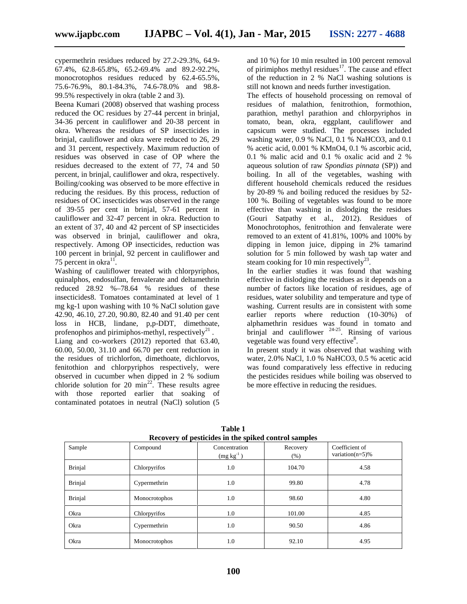cypermethrin residues reduced by 27.2-29.3%, 64.9- 67.4%, 62.8-65.8%, 65.2-69.4% and 89.2-92.2%, monocrotophos residues reduced by 62.4-65.5%, 75.6-76.9%, 80.1-84.3%, 74.6-78.0% and 98.8- 99.5% respectively in okra (table 2 and 3).

Beena Kumari (2008) observed that washing process reduced the OC residues by 27-44 percent in brinjal, 34-36 percent in cauliflower and 20-38 percent in okra. Whereas the residues of SP insecticides in brinjal, cauliflower and okra were reduced to 26, 29 and 31 percent, respectively. Maximum reduction of residues was observed in case of OP where the residues decreased to the extent of 77, 74 and 50 percent, in brinjal, cauliflower and okra, respectively. Boiling/cooking was observed to be more effective in reducing the residues. By this process, reduction of residues of OC insecticides was observed in the range of 39-55 per cent in brinjal, 57-61 percent in cauliflower and 32-47 percent in okra. Reduction to an extent of 37, 40 and 42 percent of SP insecticides was observed in brinjal, cauliflower and okra, respectively. Among OP insecticides, reduction was 100 percent in brinjal, 92 percent in cauliflower and 75 percent in okra $^{11}$ . .

Washing of cauliflower treated with chlorpyriphos, quinalphos, endosulfan, fenvalerate and deltamethrin reduced 28.92 %–78.64 % residues of these insecticides8. Tomatoes contaminated at level of 1 mg kg-1 upon washing with 10 % NaCl solution gave 42.90, 46.10, 27.20, 90.80, 82.40 and 91.40 per cent loss in HCB, lindane, p,p-DDT, dimethoate, profenophos and pirimiphos-methyl, respectively<sup>21</sup>.

Liang and co-workers (2012) reported that 63.40, 60.00, 50.00, 31.10 and 66.70 per cent reduction in the residues of trichlorfon, dimethoate, dichlorvos, fenitothion and chlorpyriphos respectively, were observed in cucumber when dipped in 2 % sodium chloride solution for 20  $\text{min}^{22}$ . These results agree with those reported earlier that soaking of contaminated potatoes in neutral (NaCl) solution (5 and 10 %) for 10 min resulted in 100 percent removal of pirimiphos methyl residues $17$ . The cause and effect of the reduction in 2 % NaCl washing solutions is still not known and needs further investigation.

The effects of household processing on removal of residues of malathion, fenitrothion, formothion, parathion, methyl parathion and chlorpyriphos in tomato, bean, okra, eggplant, cauliflower and capsicum were studied. The processes included washing water, 0.9 % NaCl, 0.1 % NaHCO3, and 0.1 % acetic acid, 0.001 % KMnO4, 0.1 % ascorbic acid, 0.1 % malic acid and 0.1 % oxalic acid and 2 % aqueous solution of raw *Spondias pinnata* (SP)) and boiling. In all of the vegetables, washing with different household chemicals reduced the residues by 20-89 % and boiling reduced the residues by 52- 100 %. Boiling of vegetables was found to be more effective than washing in dislodging the residues (Gouri Satpathy et al., 2012). Residues of Monochrotophos, fenitrothion and fenvalerate were removed to an extent of 41.81%, 100% and 100% by dipping in lemon juice, dipping in 2% tamarind solution for 5 min followed by wash tap water and steam cooking for 10 min respectively<sup>23</sup>.

In the earlier studies it was found that washing effective in dislodging the residues as it depends on a number of factors like location of residues, age of residues, water solubility and temperature and type of washing. Current results are in consistent with some earlier reports where reduction (10-30%) of alphamethrin residues was found in tomato and brinjal and cauliflower  $24-25$ . Rinsing of various vegetable was found very effective<sup>8</sup>.

In present study it was observed that washing with water, 2.0% NaCl, 1.0 % NaHCO3, 0.5 % acetic acid was found comparatively less effective in reducing the pesticides residues while boiling was observed to be more effective in reducing the residues.

| Recovery of pesticides in the spiked control samples |               |                              |                  |                                       |  |
|------------------------------------------------------|---------------|------------------------------|------------------|---------------------------------------|--|
| Sample                                               | Compound      | Concentration<br>$(mg kg-1)$ | Recovery<br>(% ) | Coefficient of<br>variation( $n=5$ )% |  |
| <b>Brinjal</b>                                       | Chlorpyrifos  | 1.0                          | 104.70           | 4.58                                  |  |
| Brinjal                                              | Cypermethrin  | 1.0                          | 99.80            | 4.78                                  |  |
| <b>Brinjal</b>                                       | Monocrotophos | 1.0                          | 98.60            | 4.80                                  |  |
| Okra                                                 | Chlorpyrifos  | 1.0                          | 101.00           | 4.85                                  |  |
| Okra                                                 | Cypermethrin  | 1.0                          | 90.50            | 4.86                                  |  |
| Okra                                                 | Monocrotophos | 1.0                          | 92.10            | 4.95                                  |  |

**Table 1 Recovery of pesticides in the spiked control samples**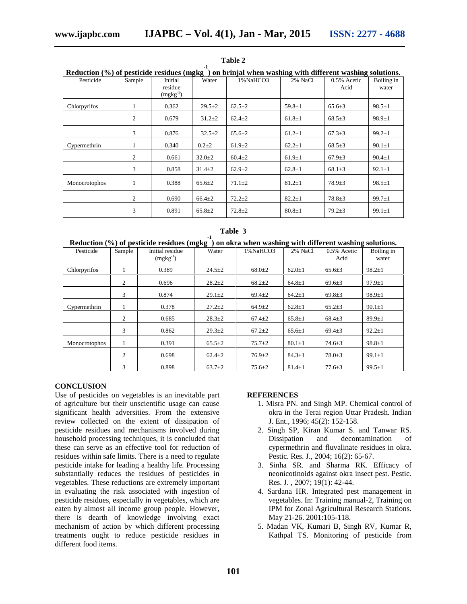| Reduction (%) of pesticide residues (mgkg) on brinjal when washing with different washing solutions. |        |                                     |              |              |              |                     |                     |
|------------------------------------------------------------------------------------------------------|--------|-------------------------------------|--------------|--------------|--------------|---------------------|---------------------|
| Pesticide                                                                                            | Sample | Initial<br>residue<br>$(mgkg^{-1})$ | Water        | 1%NaHCO3     | 2% NaCl      | 0.5% Acetic<br>Acid | Boiling in<br>water |
| Chlorpyrifos                                                                                         |        | 0.362                               | $29.5 \pm 2$ | $62.5 \pm 2$ | $59.8 \pm 1$ | $65.6 \pm 3$        | $98.5 \pm 1$        |
|                                                                                                      | 2      | 0.679                               | $31.2 \pm 2$ | $62.4 \pm 2$ | $61.8 \pm 1$ | $68.5 \pm 3$        | $98.9 \pm 1$        |
|                                                                                                      | 3      | 0.876                               | $32.5 \pm 2$ | $65.6 \pm 2$ | $61.2 \pm 1$ | $67.3 \pm 3$        | $99.2 \pm 1$        |
| Cypermethrin                                                                                         |        | 0.340                               | $0.2 + 2$    | $61.9 \pm 2$ | $62.2 \pm 1$ | $68.5 \pm 3$        | $90.1 \pm 1$        |
|                                                                                                      | 2      | 0.661                               | $32.0 \pm 2$ | $60.4 \pm 2$ | $61.9 \pm 1$ | $67.9 \pm 3$        | $90.4 \pm 1$        |
|                                                                                                      | 3      | 0.858                               | $31.4 \pm 2$ | $62.9 \pm 2$ | $62.8 \pm 1$ | $68.1 \pm 3$        | $92.1 \pm 1$        |
| Monocrotophos                                                                                        |        | 0.388                               | $65.6 \pm 2$ | $71.1 \pm 2$ | $81.2 \pm 1$ | $78.9 \pm 3$        | $98.5 \pm 1$        |
|                                                                                                      | 2      | 0.690                               | $66.4 \pm 2$ | $72.2 \pm 2$ | $82.2 \pm 1$ | $78.8 \pm 3$        | $99.7 \pm 1$        |
|                                                                                                      | 3      | 0.891                               | $65.8 \pm 2$ | $72.8 \pm 2$ | $80.8 \pm 1$ | $79.2 \pm 3$        | $99.1 \pm 1$        |

**Table 2 Reduction (%) of pesticide residues (mgkg -1) on brinjal when washing with different washing solutions.**

| Table 3 |  |  |  |
|---------|--|--|--|
|---------|--|--|--|

|  | Reduction (%) of pesticide residues (mgkg) on okra when washing with different washing solutions. |
|--|---------------------------------------------------------------------------------------------------|

| Pesticide     | Sample | Initial residue<br>$(mgkg^{-1})$ | Water        | 1%NaHCO3     | 2% NaCl      | 0.5% Acetic<br>Acid | Boiling in<br>water |
|---------------|--------|----------------------------------|--------------|--------------|--------------|---------------------|---------------------|
|               |        |                                  |              |              |              |                     |                     |
| Chlorpyrifos  |        | 0.389                            | $24.5 \pm 2$ | $68.0 \pm 2$ | $62.0 \pm 1$ | $65.6 \pm 3$        | $98.2 \pm 1$        |
|               | 2      | 0.696                            | $28.2 + 2$   | $68.2 \pm 2$ | $64.8 \pm 1$ | $69.6 \pm 3$        | $97.9 \pm 1$        |
|               | 3      | 0.874                            | $29.1 \pm 2$ | $69.4 \pm 2$ | $64.2 \pm 1$ | $69.8 \pm 3$        | $98.9 \pm 1$        |
| Cypermethrin  |        | 0.378                            | $27.2 \pm 2$ | $64.9 \pm 2$ | $62.8 \pm 1$ | $65.2+3$            | $90.1 \pm 1$        |
|               | 2      | 0.685                            | $28.3 \pm 2$ | $67.4 \pm 2$ | $65.8 \pm 1$ | $68.4 + 3$          | $89.9 \pm 1$        |
|               | 3      | 0.862                            | $29.3 \pm 2$ | $67.2 \pm 2$ | $65.6 \pm 1$ | $69.4 \pm 3$        | $92.2 \pm 1$        |
| Monocrotophos |        | 0.391                            | $65.5 \pm 2$ | $75.7 + 2$   | $80.1 \pm 1$ | $74.6 \pm 3$        | $98.8 \pm 1$        |
|               | 2      | 0.698                            | $62.4 \pm 2$ | $76.9 \pm 2$ | $84.3 \pm 1$ | $78.0 + 3$          | $99.1 \pm 1$        |
|               | 3      | 0.898                            | $63.7 + 2$   | $75.6 \pm 2$ | $81.4 \pm 1$ | $77.6 \pm 3$        | $99.5 \pm 1$        |

#### **CONCLUSION**

Use of pesticides on vegetables is an inevitable part of agriculture but their unscientific usage can cause significant health adversities. From the extensive review collected on the extent of dissipation of pesticide residues and mechanisms involved during household processing techniques, it is concluded that these can serve as an effective tool for reduction of residues within safe limits. There is a need to regulate pesticide intake for leading a healthy life. Processing substantially reduces the residues of pesticides in vegetables. These reductions are extremely important in evaluating the risk associated with ingestion of pesticide residues, especially in vegetables, which are eaten by almost all income group people. However, there is dearth of knowledge involving exact mechanism of action by which different processing treatments ought to reduce pesticide residues in different food items.

#### **REFERENCES**

- 1. Misra PN. and Singh MP. Chemical control of okra in the Terai region Uttar Pradesh. Indian J. Ent., 1996; 45(2): 152-158.
- 2. Singh SP, Kiran Kumar S. and Tanwar RS. Dissipation and decontamination of cypermethrin and fluvalinate residues in okra. Pestic. Res. J., 2004; 16(2): 65-67.
- 3. Sinha SR. and Sharma RK. Efficacy of neonicotinoids against okra insect pest. Pestic. Res. J. , 2007; 19(1): 42-44.
- 4. Sardana HR. Integrated pest management in vegetables. In: Training manual-2, Training on IPM for Zonal Agricultural Research Stations. May 21-26. 2001:105-118.
- 5. Madan VK, Kumari B, Singh RV, Kumar R, Kathpal TS. Monitoring of pesticide from